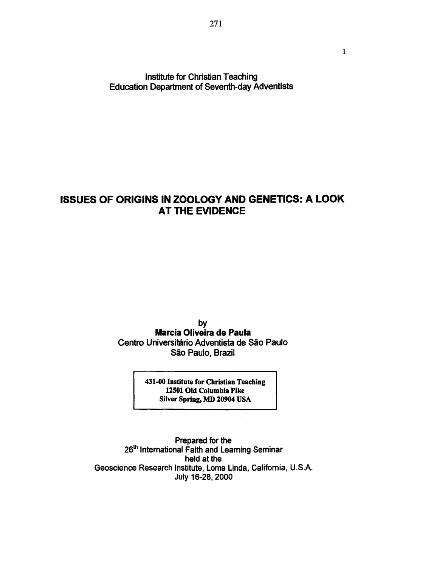Institute for Christian Teaching Education Department of Seventh-day Adventists

# ISSUES OF ORIGINS IN ZOOLOGY AND GENETICS: A LOOK AT THE EVIDENCE

by Marcia Oliveira de Paula Centro Universitário Adventista de São Paulo São Paulo, Brazil

> 431-00 Institute for Christian Teaching 12501 Old Columbia Pike Silver Spring, MD 20904 USA

Prepared for the 26<sup>th</sup> International Faith and Learning Seminar held at the Geoscience Research Institute, Loma Linda, California, U.S.A. July 16-28, 2000

 $\mathbf{1}$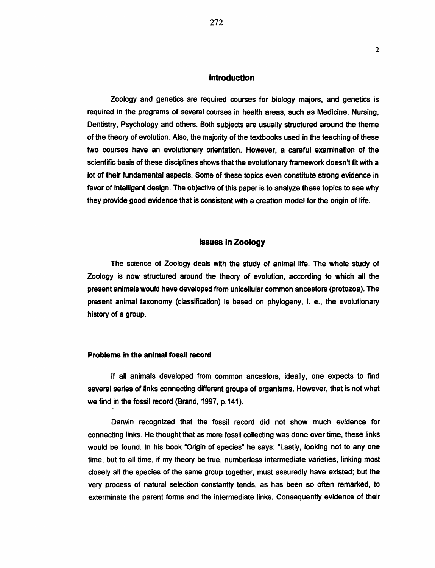## Introduction

Zoology and genetics are required courses for biology majors, and genetics is required in the programs of several courses in health areas, such as Medicine, Nursing, Dentistry, Psychology and others. Both subjects are usually structured around the theme of the theory of evolution. Also, the majority of the textbooks used in the teaching of these two courses have an evolutionary orientation. However, a careful examination of the scientific basis of these disciplines shows that the evolutionary framework doesn't fit with a lot of their fundamental aspects. Some of these topics even constitute strong evidence in favor of intelligent design. The objective of this paper is to analyze these topics to see why they provide good evidence that is consistent with a creation model for the origin of life.

## Issues in Zoology

The science of Zoology deals with the study of animal life. The whole study of Zoology is now structured around the theory of evolution, according to which all the present animals would have developed from unicellular common ancestors (protozoa). The present animal taxonomy (classification) is based on phylogeny, i. e., the evolutionary history of a group.

## Problems in the animal fossil record

If all animals developed from common ancestors, ideally, one expects to find several series of links connecting different groups of organisms. However, that is not what we find in the fossil record (Brand, 1997, p.141).

Darwin recognized that the fossil record did not show much evidence for connecting links. He thought that as more fossil collecting was done over time, these links would be found. In his book "Origin of species" he says: "Lastly, looking not to any one time, but to all time, if my theory be true, numberless intermediate varieties, linking most closely all the species of the same group together, must assuredly have existed; but the very process of natural selection constantly tends, as has been so often remarked, to exterminate the parent forms and the intermediate links. Consequently evidence of their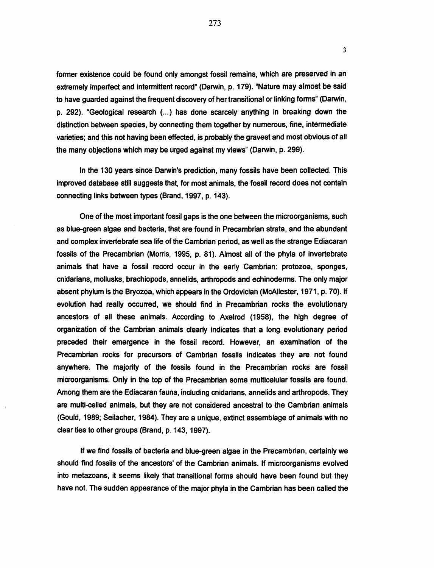former existence could be found only amongst fossil remains, which are preserved in an extremely imperfect and intermittent record" (Darwin, p. 179). "Nature may almost be said to have guarded against the frequent discovery of her transitional or linking forms" (Darwin, p. 292). "Geological research (...) has done scarcely anything in breaking down the distinction between species, by connecting them together by numerous, fine, intermediate varieties; and this not having been effected, is probably the gravest and most obvious of all the many objections which may be urged against my views" (Darwin, p. 299).

In the 130 years since Darwin's prediction, many fossils have been collected. This improved database still suggests that, for most animals, the fossil record does not contain connecting links between types (Brand, 1997, p. 143).

One of the most important fossil gaps is the one between the microorganisms, such as blue-green algae and bacteria, that are found in Precambrian strata, and the abundant and complex invertebrate sea life of the Cambrian period, as well as the strange Ediacaran fossils of the Precambrian (Morris, 1995, p. 81). Almost all of the phyla of invertebrate animals that have a fossil record occur in the early Cambrian: protozoa, sponges, cnidarians, mollusks, brachiopods, annelids, arthropods and echinoderms. The only major absent phylum is the Bryozoa, which appears in the Ordovician (McAIIester, 1971, p. 70). If evolution had really occurred, we should find in Precambrian rocks the evolutionary ancestors of all these animals. According to Axelrod (1958), the high degree of organization of the Cambrian animals clearly indicates that a long evolutionary period preceded their emergence in the fossil record. However, an examination of the Precambrian rocks for precursors of Cambrian fossils indicates they are not found anywhere. The majority of the fossils found in the Precambrian rocks are fossil microorganisms. Only in the top of the Precambrian some multicelular fossils are found. Among them are the Ediacaran fauna, including cnidarians, annelids and arthropods. They are multi-celled animals, but they are not considered ancestral to the Cambrian animals (Gould, 1989; Seilacher, 1984). They are a unique, extinct assemblage of animals with no clear ties to other groups (Brand, p. 143, 1997).

If we find fossils of bacteria and blue-green algae in the Precambrian, certainly we should find fossils of the ancestors' of the Cambrian animals. If microorganisms evolved into metazoans, it seems likely that transitional forms should have been found but they have not. The sudden appearance of the major phyla in the Cambrian has been called the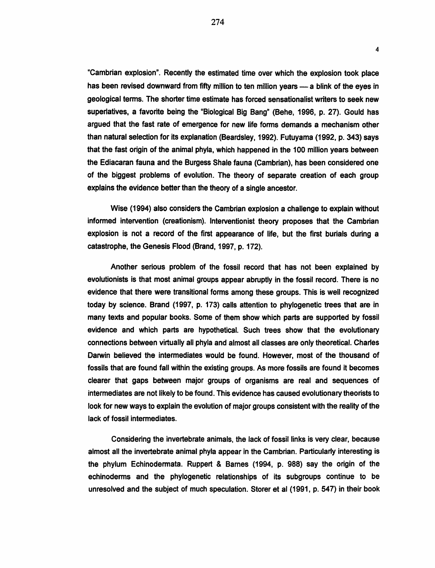"Cambrian explosion". Recently the estimated time over which the explosion took place has been revised downward from fifty million to ten million years - a blink of the eyes in geological terms. The shorter time estimate has forced sensationalist writers to seek new superlatives, a favorite being the "Biological Big Bang" (Behe, 1996, p. 27}. Gould has argued that the fast rate of emergence for new life forms demands a mechanism other than natural selection for its explanation (Beardsley, 1992}. Futuyama (1992, p. 343) says that the fast origin of the animal phyla, which happened in the 100 million years between the Ediacaran fauna and the Burgess Shale fauna (Cambrian}, has been considered one of the biggest problems of evolution. The theory of separate creation of each group explains the evidence better than the theory of a single ancestor.

4

Wise (1994) also considers the Cambrian explosion a challenge to explain without informed intervention (creationism). Interventionist theory proposes that the Cambrian explosion is not a record of the first appearance of life, but the first burials during a catastrophe, the Genesis Flood (Brand, 1997, p. 172).

Another serious problem of the fossil record that has not been explained by evolutionists is that most animal groups appear abruptly in the fossil record. There is no evidence that there were transitional forms among these groups. This is well recognized today by science. Brand (1997, p. 173) calls attention to phylogenetic trees that are in many texts and popular books. Some of them show which parts are supported by fossil evidence and which parts are hypothetical. Such trees show that the evolutionary connections between virtually all phyla and almost all classes are only theoretical. Charles Darwin believed the intermediates would be found. However, most of the thousand of fossils that are found fall within the existing groups. As more fossils are found it becomes clearer that gaps between major groups of organisms are real and sequences of intermediates are not likely to be found. This evidence has caused evolutionary theorists to look for new ways to explain the evolution of major groups consistent with the reality of the lack of fossil intermediates.

Considering the invertebrate animals, the lack of fossil links is very clear, because almost all the invertebrate animal phyla appear in the Cambrian. Particularly interesting is the phylum Echinodermata. Ruppert & Barnes (1994, p. 988) say the origin of the echinoderms and the phylogenetic relationships of its subgroups continue to be unresolved and the subject of much speculation. Storer et al (1991, p. 547) in their book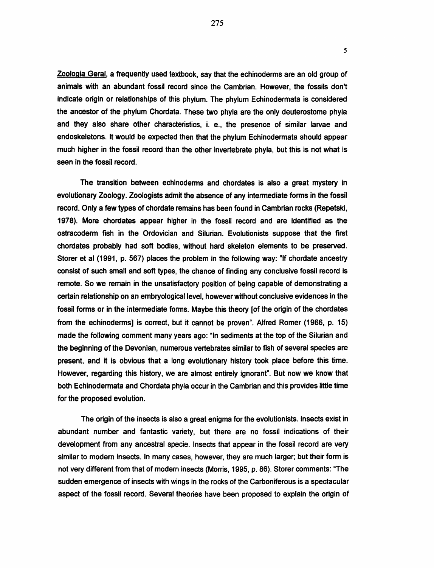Zoologia Geral, a frequently used textbook, say that the echinoderms are an old group of animals with an abundant fossil record since the Cambrian. However, the fossils don't indicate origin or relationships of this phylum. The phylum Echinodermata is considered the ancestor of the phylum Chordata. These two phyla are the only deuterostome phyla and they also share other characteristics, i. e., the presence of similar larvae and endoskeletons. It would be expected then that the phylum Echinodermata should appear much higher in the fossil record than the other invertebrate phyla, but this is not what is seen in the fossil record.

The transition between echinoderms and chordates is also a great mystery in evolutionary Zoology. Zoologists admit the absence of any intermediate forms in the fossil record. Only a few types of chordate remains has been found in Cambrian rocks (Repetski, 1978). More chordates appear higher in the fossil record and are identified as the ostracoderm fish in the Ordovician and Silurian. Evolutionists suppose that the first chordates probably had soft bodies, without hard skeleton elements to be preserved. Storer et al (1991, p. 567) places the problem in the following way: "If chordate ancestry consist of such small and soft types, the chance of finding any conclusive fossil record is remote. So we remain in the unsatisfactory position of being capable of demonstrating a certain relationship on an embryological level, however without conclusive evidences in the fossil forms or in the intermediate forms. Maybe this theory [of the origin of the chordates from the echinoderms] is correct, but it cannot be proven". Alfred Romer (1966, p. 15) made the following comment many years ago: "In sediments at the top of the Silurian and the beginning of the Devonian, numerous vertebrates similar to fish of several species are present, and it is obvious that a long evolutionary history took place before this time. However, regarding this history, we are almost entirely ignorant". But now we know that both Echinodermata and Chordata phyla occur in the Cambrian and this provides little time for the proposed evolution.

The origin of the insects is also a great enigma for the evolutionists. Insects exist in abundant number and fantastic variety, but there are no fossil indications of their development from any ancestral specie. Insects that appear in the fossil record are very similar to modem insects. In many cases, however, they are much larger; but their form is not very different from that of modem insects (Morris, 1995, p. 86). Storer comments: "The sudden emergence of insects with wings in the rocks of the Carboniferous is a spectacular aspect of the fossil record. Several theories have been proposed to explain the origin of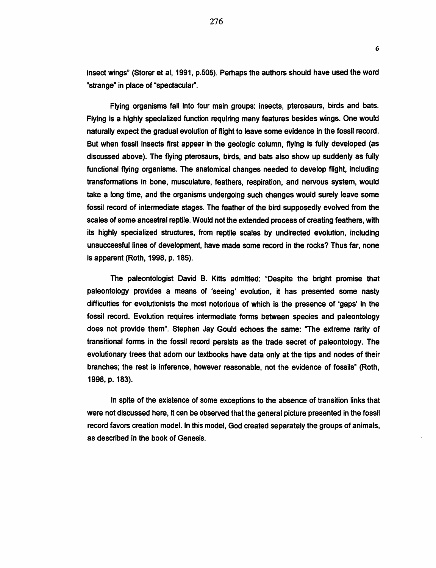insect wings" (Storer et al, 1991, p.505). Perhaps the authors should have used the word "strange" in place of "spectacular".

6

Flying organisms fall into four main groups: insects, pterosaurs, birds and bats. Flying is a highly specialized function requiring many features besides wings. One would naturally expect the gradual evolution of flight to leave some evidence in the fossil record. But when fossil insects first appear in the geologic column, flying is fully developed (as discussed above). The flying pterosaurs, birds, and bats also show up suddenly as fully functional flying organisms. The anatomical changes needed to develop flight, including transformations in bone, musculature, feathers, respiration, and nervous system, would take a long time, and the organisms undergoing such changes would surely leave some fossil record of intermediate stages. The feather of the bird supposedly evolved from the scales of some ancestral reptile. Would not the extended process of creating feathers, with its highly specialized structures, from reptile scales by undirected evolution, including unsuccessful lines of development, have made some record in the rocks? Thus far, none is apparent (Roth, 1998, p. 185).

The paleontologist David B. Kitts admitted: "Despite the bright promise that paleontology provides a means of 'seeing' evolution, it has presented some nasty difficulties for evolutionists the most notorious of which is the presence of 'gaps' in the fossil record. Evolution requires intermediate forms between species and paleontology does not provide them". Stephen Jay Gould echoes the same: "The extreme rarity of transitional forms in the fossil record persists as the trade secret of paleontology. The evolutionary trees that adorn our textbooks have data only at the tips and nodes of their branches; the rest is inference, however reasonable, not the evidence of fossils" (Roth, 1998, p. 183).

In spite of the existence of some exceptions to the absence of transition links that were not discussed here, it can be observed that the general picture presented in the fossil record favors creation model. In this model, God created separately the groups of animals, as described in the book of Genesis.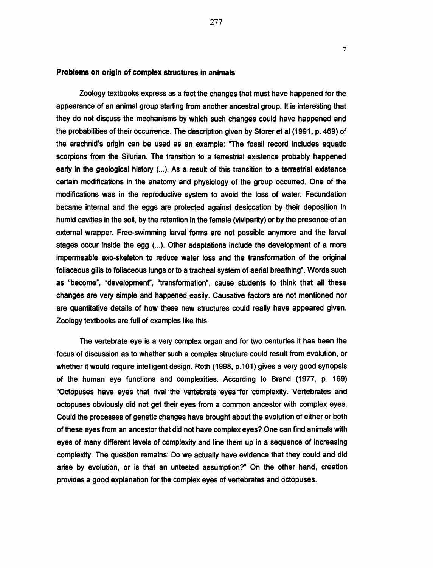## Problems on origin of complex structures in animals

Zoology textbooks express as a fact the changes that must have happened for the appearance of an animal group starting from another ancestral group. It is interesting that they do not discuss the mechanisms by which such changes could have happened and the probabilities of their occurrence. The description given by Storer et al (1991, p. 469) of the arachnid's origin can be used as an example: "The fossil record includes aquatic scorpions from the Silurian. The transition to a terrestrial existence probably happened early in the geological history (...). As a result of this transition to a terrestrial existence certain modifications in the anatomy and physiology of the group occurred. One of the modifications was in the reproductive system to avoid the loss of water. Fecundation became internal and the eggs are protected against desiccation by their deposition in humid cavities in the soil, by the retention in the female (viviparity) or by the presence of an external wrapper. Free-swimming larval forms are not possible anymore and the larval stages occur inside the egg (...). Other adaptations include the development of a more impermeable exo-skeleton to reduce water loss and the transformation of the original foliaceous gills to foliaceous lungs or to a tracheal system of aerial breathing". Words such as "become", "development", "transformation", cause students to think that all these changes are very simple and happened easily. Causative factors are not mentioned nor are quantitative details of how these new structures could really have appeared given. Zoology textbooks are full of examples like this.

The vertebrate eye is a very complex organ and for two centuries it has been the focus of discussion as to whether such a complex structure could result from evolution, or whether it would require intelligent design. Roth (1998, p.101) gives a very good synopsis of the human eye functions and complexities. According to Brand (1977, p. 169) "Octopuses have eyes that rival-the vertebrate eyes for complexity. Vertebrates and octopuses obviously did not get their eyes from a common ancestor with complex eyes. Could the processes of genetic changes have brought about the evolution of either or both of these eyes from an ancestor that did not have complex eyes? One can find animals with eyes of many different levels of complexity and line them up in a sequence of increasing complexity. The question remains: Do we actually have evidence that they could and did arise by evolution, or is that an untested assumption?" On the other hand, creation provides a good explanation for the complex eyes of vertebrates and octopuses.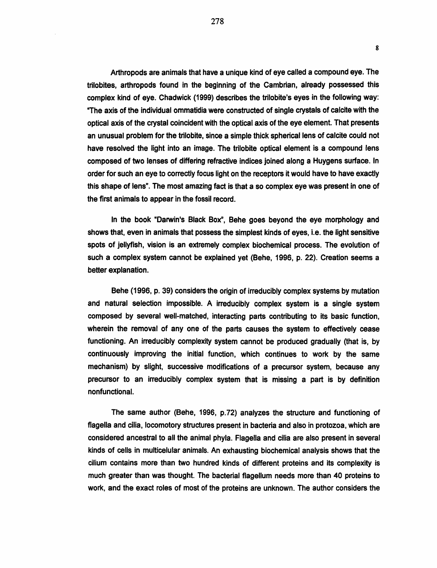Arthropods are animals that have a unique kind of eye called a compound eye. The trilobites, arthropods found in the beginning of the Cambrian, already possessed this complex kind of eye. Chadwick (1999) describes the trilobite's eyes in the following way: "The axis of the individual ommatidia were constructed of single crystals of calcite with the optical axis of the crystal coincident with the optical axis of the eye element. That presents an unusual problem for the trilobite, since a simple thick spherical lens of calcite could not have resolved the light into an image. The trilobite optical element is a compound lens composed of two lenses of differing refractive indices joined along a Huygens surface. In order for such an eye to correctly focus light on the receptors it would have to have exactly this shape of lens". The most amazing fact is that a so complex eye was present in one of the first animals to appear in the fossil record.

In the book "Darwin's Black Box", Behe goes beyond the eye morphology and shows that, even in animals that possess the simplest kinds of eyes, i.e. the light sensitive spots of jellyfish, vision is an extremely complex biochemical process. The evolution of such a complex system cannot be explained yet (Behe, 1996, p. 22). Creation seems a better explanation.

Behe (1996, p. 39) considers the origin of irreducibly complex systems by mutation and natural selection impossible. A irreducibly complex system is a single system composed by several well-matched, interacting parts contributing to its basic function, wherein the removal of any one of the parts causes the system to effectively cease functioning. An irreducibly complexity system cannot be produced gradually (that is, by continuously improving the initial function, which continues to work by the same mechanism) by slight, successive modifications of a precursor system, because any precursor to an irreducibly complex system that is missing a part is by definition nonfunctional.

The same author (Behe, 1996, p.72) analyzes the structure and functioning of flagella and cilia, locomotory structures present in bacteria and also in protozoa, which are considered ancestral to all the animal phyla. Flagella and cilia are also present in several kinds of cells in multicelular animals. An exhausting biochemical analysis shows that the cilium contains more than two hundred kinds of different proteins and its complexity is much greater than was thought. The bacterial flagellum needs more than 40 proteins to work, and the exact roles of most of the proteins are unknown. The author considers the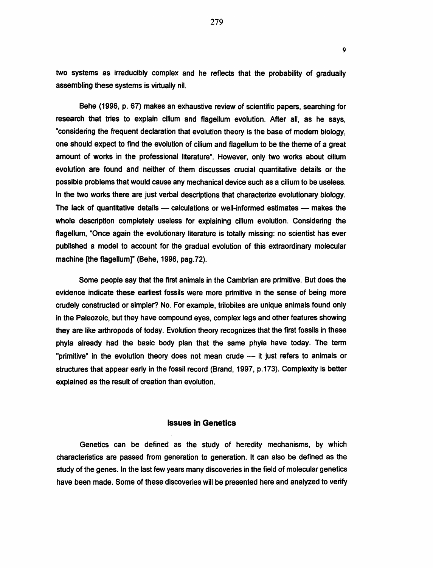two systems as irreducibly complex and he reflects that the probability of gradually assembling these systems is virtually nil.

Behe (1996, p. 67) makes an exhaustive review of scientific papers, searching for research that tries to explain cilium and flagellum evolution. After all, as he says, "considering the frequent declaration that evolution theory is the base of modem biology, one should expect to find the evolution of cilium and flagellum to be the theme of a great amount of works in the professional literature". However, only two works about cilium evolution are found and neither of them discusses crucial quantitative details or the possible problems that would cause any mechanical device such as a cilium to be useless. In the two works there are just verbal descriptions that characterize evolutionary biology. The lack of quantitative details - calculations or well-informed estimates - makes the whole description completely useless for explaining cilium evolution. Considering the flagellum, "Once again the evolutionary literature is totally missing: no scientist has ever published a model to account for the gradual evolution of this extraordinary molecular machine [the flagellum]" (Behe, 1996, pag. 72).

Some people say that the first animals in the Cambrian are primitive. But does the evidence indicate these earliest fossils were more primitive in the sense of being more crudely constructed or simpler? No. For example, trilobites are unique animals found only in the Paleozoic, but they have compound eyes, complex legs and other features showing they are like arthropods of today. Evolution theory recognizes that the first fossils in these phyla already had the basic body plan that the same phyla have today. The term "primitive" in the evolution theory does not mean crude -- it just refers to animals or structures that appear early in the fossil record (Brand, 1997, p.173). Complexity is better explained as the result of creation than evolution.

#### Issues in Genetics

Genetics can be defined as the study of heredity mechanisms, by which characteristics are passed from generation to generation. It can also be defined as the study of the genes. In the last few years many discoveries in the field of molecular genetics have been made. Some of these discoveries will be presented here and analyzed to verify

279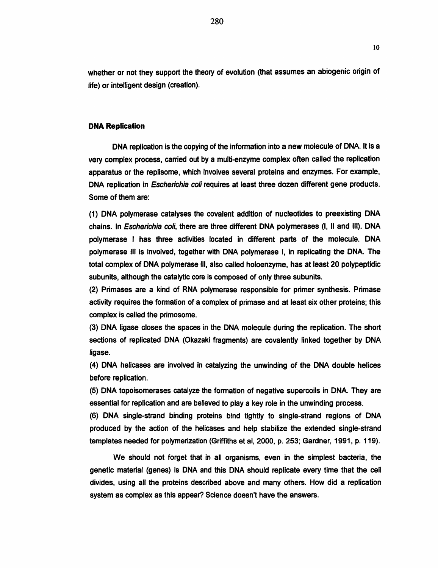whether or not they support the theory of evolution (that assumes an abiogenic origin of life) or intelligent design (creation).

#### DNA Replication

DNA replication is the copying of the information into a new molecule of DNA. It is a very complex process, carried out by a multi-enzyme complex often called the replication apparatus or the replisome, which involves several proteins and enzymes. For example, DNA replication in Escherichia coli requires at least three dozen different gene products. Some of them are:

(1) DNA polymerase catalyses the covalent addition of nucleotides to preexisting DNA chains. In Escherichia coli, there are three different DNA polymerases (1, II and Ill). DNA polymerase I has three activities located in different parts of the molecule. DNA polymerase Ill is involved, together with DNA polymerase I, in replicating the DNA. The total complex of DNA polymerase Ill, also called holoenzyme, has at least 20 polypeptidic subunits, although the catalytic core is composed of only three subunits.

(2) Primases are a kind of RNA polymerase responsible for primer synthesis. Primase activity requires the formation of a complex of primase and at least six other proteins; this complex is called the primosome.

(3) DNA ligase closes the spaces in the DNA molecule during the replication. The short sections of replicated DNA (Okazaki fragments) are covalently linked together by DNA ligase.

(4) DNA helicases are involved in catalyzing the unwinding of the DNA double helices before replication.

(5) DNA topoisomerases catalyze the formation of negative supercoils in DNA. They are essential for replication and are believed to play a key role in the unwinding process.

(6) DNA single-strand binding proteins bind tightly to single-strand regions of DNA produced by the action of the helicases and help stabilize the extended single-strand templates needed for polymerization (Griffiths et al, 2000, p. 253; Gardner, 1991, p. 119).

We should not forget that in all organisms, even in the simplest bacteria, the genetic material (genes) is DNA and this DNA should replicate every time that the cell divides, using all the proteins described above and many others. How did a replication system as complex as this appear? Science doesn't have the answers.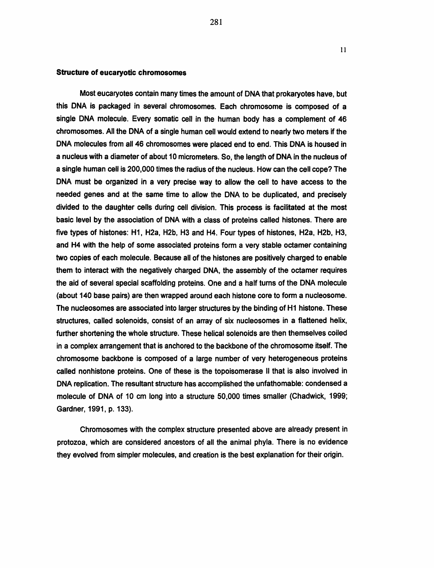#### Structure of eucaryotic chromosomes

Most eucaryotes contain many times the amount of DNA that prokaryotes have, but this DNA is packaged in several chromosomes. Each chromosome is composed of a single DNA molecule. Every somatic cell in the human body has a complement of 46 chromosomes. All the DNA of a single human cell would extend to nearly two meters if the DNA molecules from all46 chromosomes were placed end to end. This DNA is housed in a nucleus with a diameter of about 10 micrometers. So, the length of DNA in the nucleus of a single human cell is 200,000 times the radius of the nucleus. How can the cell cope? The DNA must be organized in a very precise way to allow the cell to have access to the needed genes and at the same time to allow the DNA to be duplicated, and precisely divided to the daughter cells during cell division. This process is facilitated at the most basic level by the association of DNA with a class of proteins called histones. There are five types of histones: H1, H2a, H2b, H3 and H4. Four types of histones, H2a, H2b, H3, and H4 with the help of some associated proteins form a very stable octamer containing two copies of each molecule. Because all of the histones are positively charged to enable them to interact with the negatively charged DNA, the assembly of the octamer requires the aid of several special scaffolding proteins. One and a half turns of the DNA molecule (about 140 base pairs) are then wrapped around each histone core to form a nucleosome. The nucleosomes are associated into larger structures by the binding of H1 histone. These structures, called solenoids, consist of an array of six nucleosomes in a flattened helix, further shortening the whole structure. These helical solenoids are then themselves coiled in a complex arrangement that is anchored to the backbone of the chromosome itself. The chromosome backbone is composed of a large number of very heterogeneous proteins called nonhistone proteins. One of these is the topoisomerase II that is also involved in DNA replication. The resultant structure has accomplished the unfathomable: condensed a molecule of DNA of 10 em long into a structure 50,000 times smaller (Chadwick, 1999; Gardner, 1991, p. 133).

Chromosomes with the complex structure presented above are already present in protozoa, which are considered ancestors of all the animal phyla. There is no evidence they evolved from simpler molecules, and creation is the best explanation for their origin.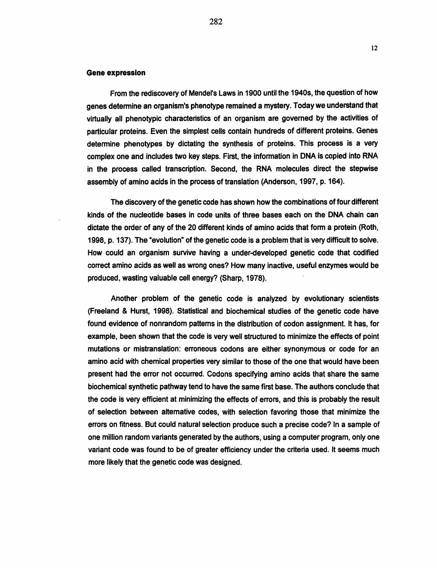#### Gene expression

From the rediscovery of Mendel's Laws in 1900 until the 1940s, the question of how genes determine an organism's phenotype remained a mystery. Today we understand that virtually all phenotypic characteristics of an organism are governed by the activities of particular proteins. Even the simplest cells contain hundreds of different proteins. Genes determine phenotypes by dictating the synthesis of proteins. This process is a very complex one and includes two key steps. First, the information in DNA is copied into RNA in the process called transcription. Second, the RNA molecules direct the stepwise assembly of amino acids in the process of translation (Anderson, 1997, p. 164).

The discovery of the genetic code has shown how the combinations of four different kinds of the nucleotide bases in code units of three bases each on the DNA chain can dictate the order of any of the 20 different kinds of amino acids that form a protein (Roth, 1998, p. 137). The "evolution" of the genetic code is a problem that is very difficult to solve. How could an organism survive having a under-developed genetic code that codified correct amino acids as well as wrong ones? How many inactive, useful enzymes would be produced, wasting valuable cell energy? (Sharp, 1978).

Another problem of the genetic code is analyzed by evolutionary scientists (Freeland & Hurst, 1998). Statistical and biochemical studies of the genetic code have found evidence of nonrandom patterns in the distribution of codon assignment. It has, for example, been shown that the code is very well structured to minimize the effects of point mutations or mistranslation: erroneous codons are either synonymous or code for an amino acid with chemical properties very similar to those of the one that would have been present had the error not occurred. Codons specifying amino acids that share the same biochemical synthetic pathway tend to have the same first base. The authors conclude that the code is very efficient at minimizing the effects of errors, and this is probably the result of selection between alternative codes, with selection favoring those that minimize the errors on fitness. But could natural selection produce such a precise code? In a sample of one million random variants generated by the authors, using a computer program, only one variant code was found to be of greater efficiency under the criteria used. It seems much more likely that the genetic code was designed.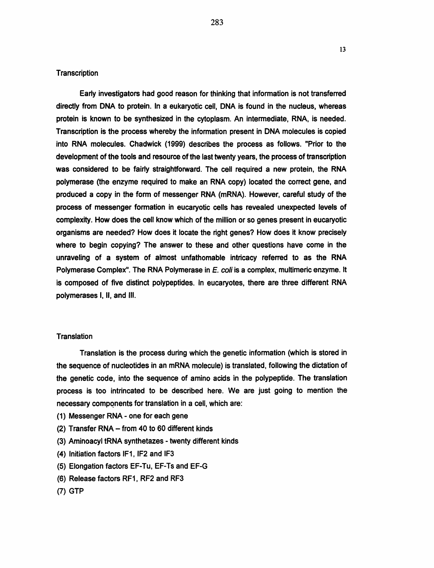Early investigators had good reason for thinking that information is not transferred directly from DNA to protein. In a eukaryotic cell. DNA is found in the nucleus. whereas protein is known to be synthesized in the cytoplasm. An intermediate. RNA. is needed. Transcription is the process whereby the information present in DNA molecules is copied into RNA molecules. Chadwick (1999) describes the process as follows. "Prior to the development of the tools and resource of the last twenty years. the process of transcription was considered to be fairly straightforward. The cell required a new protein. the RNA polymerase (the enzyme required to make an RNA copy) located the correct gene. and produced a copy in the form of messenger RNA (mRNA). However, careful study of the process of messenger formation in eucaryotic cells has revealed unexpected levels of complexity. How does the cell know which of the million or so genes present in eucaryotic organisms are needed? How does it locate the right genes? How does it know precisely where to begin copying? The answer to these and other questions have come in the unraveling of a system of almost unfathomable intricacy referred to as the RNA Polymerase Complex". The RNA Polymerase in *E. coli* is a complex, multimeric enzyme. It is composed of five distinct polypeptides. In eucaryotes. there are three different RNA polymerases I. II, and Ill.

## **Translation**

Translation is the process during which the genetic information (which is stored in the sequence of nucleotides in an mRNA molecule) is translated, following the dictation of the genetic code, into the sequence of amino acids in the polypeptide. The translation process is too intrincated to be described here. We are just going to mention the necessary components for translation in a cell, which are:

- (1) Messenger RNA one for each gene
- (2) Transfer RNA from 40 to 60 different kinds
- (3) Aminoacyl tRNA synthetazes twenty different kinds
- (4) Initiation factors IF1. IF2 and IF3
- (5) Elongation factors EF-Tu, EF-Ts and EF-G
- (6) Release factors RF1. RF2 and RF3
- (7) GTP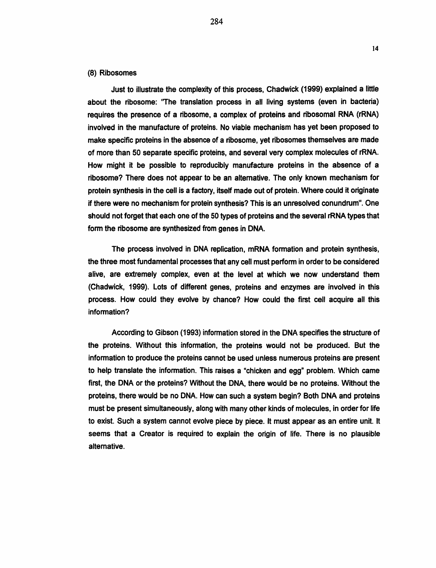## (8) Ribosomes

Just to illustrate the complexity of this process, Chadwick (1999) explained a little about the ribosome: "The translation process in all living systems (even in bacteria) requires the presence of a ribosome, a complex of proteins and ribosomal RNA (rRNA) involved in the manufacture of proteins. No viable mechanism has yet been proposed to make specific proteins in the absence of a ribosome, yet ribosomes themselves are made of more than 50 separate specific proteins, and several very complex molecules of rRNA. How might it be possible to reproducibly manufacture proteins in the absence of a ribosome? There does not appear to be an alternative. The only known mechanism for protein synthesis in the cell is a factory, itself made out of protein. Where could it originate if there were no mechanism for protein synthesis? This is an unresolved conundrum". One should not forget that each one of the 50 types of proteins and the several rRNA types that form the ribosome are synthesized from genes in DNA.

The process involved in DNA replication, mRNA formation and protein synthesis, the three most fundamental processes that any cell must perform in order to be considered alive, are extremely complex, even at the level at which we now understand them (Chadwick, 1999). Lots of different genes, proteins and enzymes are involved in this process. How could they evolve by chance? How could the first cell acquire all this information?

According to Gibson (1993) information stored in the DNA specifies the structure of the proteins. Without this information, the proteins would not be produced. But the information to produce the proteins cannot be used unless numerous proteins are present to help translate the information. This raises a "chicken and egg" problem. Which came first, the DNA or the proteins? Without the DNA, there would be no proteins. Without the proteins, there would be no DNA. How can such a system begin? Both DNA and proteins must be present simultaneously, along with many other kinds of molecules, in order for life to exist. Such a system cannot evolve piece by piece. It must appear as an entire unit. It seems that a Creator is required to explain the origin of life. There is no plausible alternative.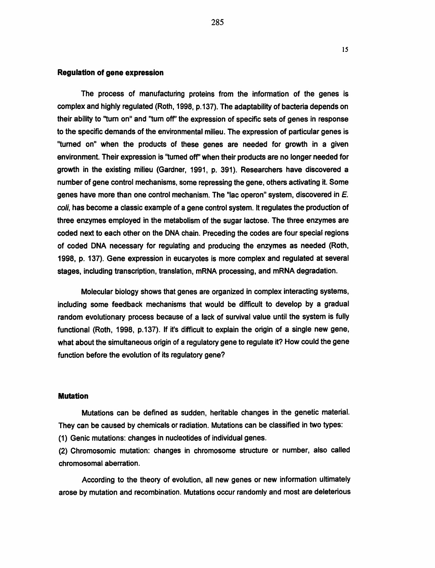#### Regulation of gene expression

The process of manufacturing proteins from the information of the genes is complex and highly regulated (Roth, 1998, p.137). The adaptability of bacteria depends on their ability to "turn on" and "turn off" the expression of specific sets of genes in response to the specific demands of the environmental milieu. The expression of particular genes is ''turned on" when the products of these genes are needed for growth in a given environment. Their expression is ''turned off' when their products are no longer needed for growth in the existing milieu (Gardner, 1991, p. 391 ). Researchers have discovered a number of gene control mechanisms, some repressing the gene, others activating it. Some genes have more than one control mechanism. The "lac operon" system, discovered in  $E$ . coli, has become a classic example of a gene control system. It regulates the production of three enzymes employed in the metabolism of the sugar lactose. The three enzymes are coded next to each other on the DNA chain. Preceding the codes are four special regions of coded DNA necessary for regulating and producing the enzymes as needed (Roth, 1998, p. 137). Gene expression in eucaryotes is more complex and regulated at several stages, including transcription, translation, mRNA processing, and mRNA degradation.

Molecular biology shows that genes are organized in complex interacting systems, including some feedback mechanisms that would be difficult to develop by a gradual random evolutionary process because of a lack of survival value until the system is fully functional (Roth, 1998, p.137). If it's difficult to explain the origin of a single new gene, what about the simultaneous origin of a regulatory gene to regulate it? How could the gene function before the evolution of its regulatory gene?

## Mutation

Mutations can be defined as sudden, heritable changes in the genetic material. They can be caused by chemicals or radiation. Mutations can be classified in two types:

(1) Genic mutations: changes in nucleotides of individual genes.

(2) Chromosomic mutation: changes in chromosome structure or number, also called chromosomal aberration.

According to the theory of evolution, all new genes or new information ultimately arose by mutation and recombination. Mutations occur randomly and most are deleterious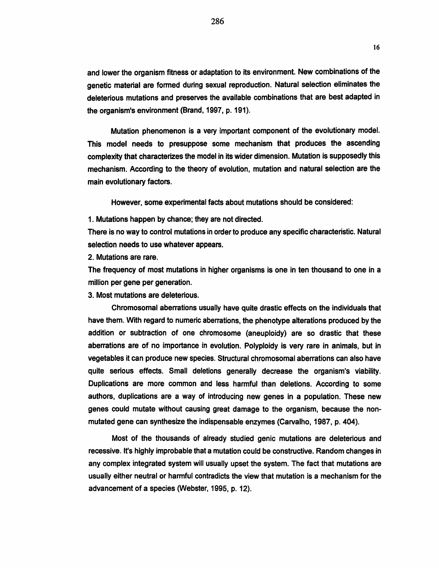and lower the organism fitness or adaptation to its environment. New combinations of the genetic material are formed during sexual reproduction. Natural selection eliminates the deleterious mutations and preserves the available combinations that are best adapted in the organism's environment (Brand, 1997, p. 191).

Mutation phenomenon is a very important component of the evolutionary model. This model needs to presuppose some mechanism that produces the ascending complexity that characterizes the model in its wider dimension. Mutation is supposedly this mechanism. According to the theory of evolution, mutation and natural selection are the main evolutionary factors.

However, some experimental facts about mutations should be considered:

1. Mutations happen by chance; they are not directed.

There is no way to control mutations in order to produce any specific characteristic. Natural selection needs to use whatever appears.

2. Mutations are rare.

The frequency of most mutations in higher organisms is one in ten thousand to one in a million per gene per generation.

3. Most mutations are deleterious.

Chromosomal aberrations usually have quite drastic effects on the individuals that have them. With regard to numeric aberrations, the phenotype alterations produced by the addition or subtraction of one chromosome (aneuploidy) are so drastic that these aberrations are of no importance in evolution. Polyploidy is very rare in animals, but in vegetables it can produce new species. Structural chromosomal aberrations can also have quite serious effects. Small deletions generally decrease the organism's viability. Duplications are more common and less harmful than deletions. According to some authors, duplications are a way of introducing new genes in a population. These new genes could mutate without causing great damage to the organism, because the nonmutated gene can synthesize the indispensable enzymes (Carvalho, 1987, p. 404).

Most of the thousands of already studied genic mutations are deleterious and recessive. It's highly improbable that a mutation could be constructive. Random changes in any complex integrated system will usually upset the system. The fact that mutations are usually either neutral or harmful contradicts the view that mutation is a mechanism for the advancement of a species (Webster, 1995, p. 12).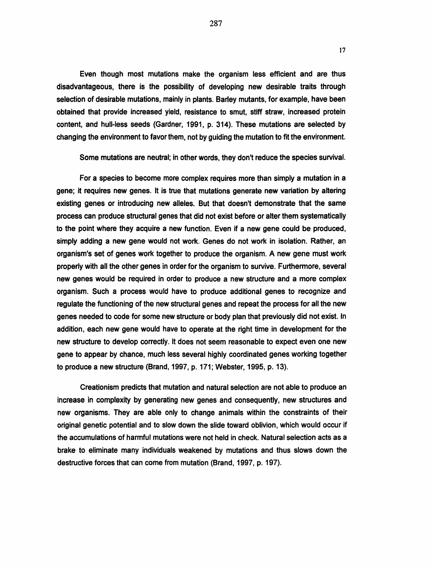Even though most mutations make the organism less efficient and are thus disadvantageous, there is the possibility of developing new desirable traits through selection of desirable mutations, mainly in plants. Barley mutants, for example, have been obtained that provide increased yield, resistance to smut, stiff straw, increased protein content, and hull-less seeds (Gardner, 1991, p. 314). These mutations are selected by changing the environment to favor them, not by guiding the mutation to fit the environment.

Some mutations are neutral; in other words, they don't reduce the species survival.

For a species to become more complex requires more than simply a mutation in a gene; it requires new genes. It is true that mutations generate new variation by altering existing genes or introducing new alleles. But that doesn't demonstrate that the same process can produce structural genes that did not exist before or alter them systematically to the point where they acquire a new function. Even if a new gene could be produced, simply adding a new gene would not work. Genes do not work in isolation. Rather, an organism's set of genes work together to produce the organism. A new gene must work properly with all the other genes in order for the organism to survive. Furthermore, several new genes would be required in order to produce a new structure and a more complex organism. Such a process would have to produce additional genes to recognize and regulate the functioning of the new structural genes and repeat the process for all the new genes needed to code for some new structure or body plan that previously did not exist. In addition, each new gene would have to operate at the right time in development for the new structure to develop correctly. It does not seem reasonable to expect even one new gene to appear by chance, much less several highly coordinated genes working together to produce a new structure (Brand, 1997, p. 171; Webster, 1995, p. 13).

Creationism predicts that mutation and natural selection are not able to produce an increase in complexity by generating new genes and consequently, new structures and new organisms. They are able only to change animals within the constraints of their original genetic potential and to slow down the slide toward oblivion, which would occur if the accumulations of harmful mutations were not held in check. Natural selection acts as a brake to eliminate many individuals weakened by mutations and thus slows down the destructive forces that can come from mutation (Brand, 1997, p. 197).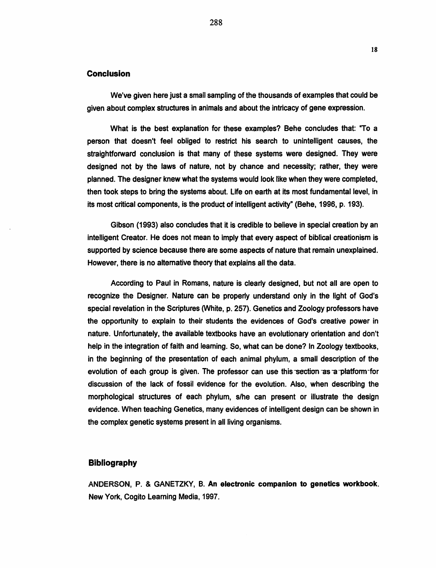# **Conclusion**

We've given here just a small sampling of the thousands of examples that could be given about complex structures in animals and about the intricacy of gene expression.

What is the best explanation for these examples? Behe concludes that: "To a person that doesn't feel obliged to restrict his search to unintelligent causes, the straightforward conclusion is that many of these systems were designed. They were designed not by the laws of nature, not by chance and necessity; rather, they were planned. The designer knew what the systems would look like when they were completed, then took steps to bring the systems about. Life on earth at its most fundamental level, in its most critical components, is the product of intelligent activity" (Behe, 1996, p. 193).

Gibson (1993) also concludes that it is credible to believe in special creation by an intelligent Creator. He does not mean to imply that every aspect of biblical creationism is supported by science because there are some aspects of nature that remain unexplained. However, there is no alternative theory that explains all the data.

According to Paul in Romans, nature is clearly designed, but not all are open to recognize the Designer. Nature can be properly understand only in the light of God's special revelation in the Scriptures (White, p. 257). Genetics and Zoology professors have the opportunity to explain to their students the evidences of God's creative power in nature. Unfortunately, the available textbooks have an evolutionary orientation and don't help in the integration of faith and learning. So, what can be done? In Zoology textbooks, in the beginning of the presentation of each animal phylum, a small description of the evolution of each group is given. The professor can use this section as a platform-for discussion of the lack of fossil evidence for the evolution. Also, when describing the morphological structures of each phylum, s/he can present or illustrate the design evidence. When teaching Genetics, many evidences of intelligent design can be shown in the complex genetic systems present in all living organisms.

# Bibliography

ANDERSON, P. & GANETZKY, B. An electronic companion to genetics workbook. New York, Cogito Learning Media, 1997.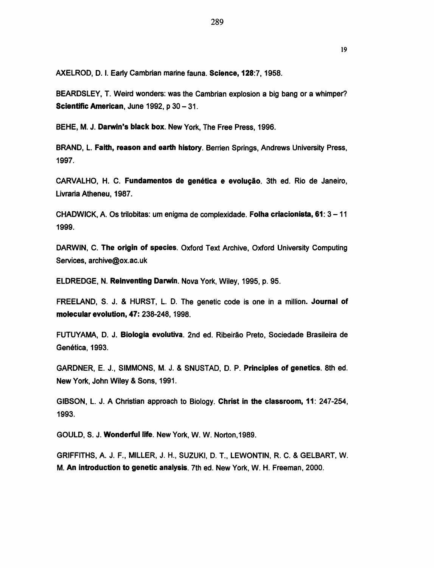BEARDSLEY, T. Weird wonders: was the Cambrian explosion a big bang or a whimper? Scientific American, June 1992, p 30 - 31.

BEHE, M. J. Darwin's black box. New York, The Free Press, 1996.

BRAND, L. Faith, reason and earth history. Berrien Springs, Andrews University Press, 1997.

CARVALHO, H. C. Fundamentos de genética e evolução. 3th ed. Rio de Janeiro, Livraria Atheneu, 1987.

CHADWICK, A. Os trilobitas: urn enigma de complexidade. Folha criacionista, 61: 3- <sup>11</sup> 1999.

DARWIN, C. The origin of species. Oxford Text Archive, Oxford University Computing Services, archive@ox.ac.uk

ELDREDGE, N. Reinventing Darwin. Nova York, Wiley, 1995, p. 95.

FREELAND, S. J. & HURST, L. D. The genetic code is one in a million. Journal of molecular evolution, 47: 238-248, 1998.

FUTUYAMA, D. J. Biologia evolutiva. 2nd ed. Ribeirao Prete, Sociedade Brasileira de Genética, 1993.

GARDNER, E. J., SIMMONS, M. J. & SNUSTAD, D.P. Principles of genetics. 8th ed. New York, John Wiley & Sons, 1991.

GIBSON, L. J. A Christian approach to Biology. Christ in the classroom, 11: 247-254, 1993.

GOULD, S. J. Wonderful life. New York, W. W. Norton,1989.

GRIFFITHS, A. J. F., MILLER, J. H., SUZUKI, D. T., LEWONTIN, R. C. & GELBART, W. M. An introduction to genetic analysis. 7th ed. New York, W. H. Freeman, 2000.